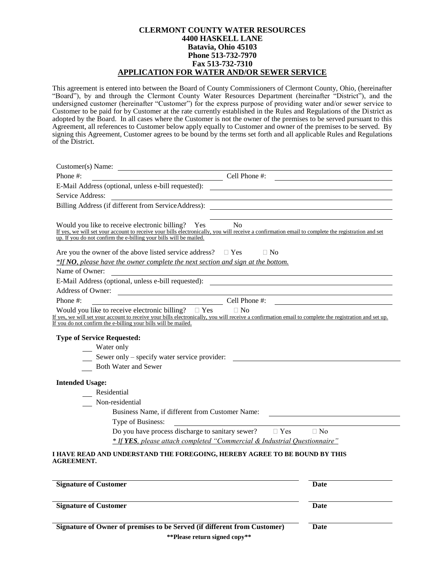## **CLERMONT COUNTY WATER RESOURCES 4400 HASKELL LANE Batavia, Ohio 45103 Phone 513-732-7970 Fax 513-732-7310 APPLICATION FOR WATER AND/OR SEWER SERVICE**

This agreement is entered into between the Board of County Commissioners of Clermont County, Ohio, (hereinafter "Board"), by and through the Clermont County Water Resources Department (hereinafter "District"), and the undersigned customer (hereinafter "Customer") for the express purpose of providing water and/or sewer service to Customer to be paid for by Customer at the rate currently established in the Rules and Regulations of the District as adopted by the Board. In all cases where the Customer is not the owner of the premises to be served pursuant to this Agreement, all references to Customer below apply equally to Customer and owner of the premises to be served. By signing this Agreement, Customer agrees to be bound by the terms set forth and all applicable Rules and Regulations of the District.

| $\frac{1}{2}$ Cell Phone #:<br>Phone #:                                                                                                                                                                                           |
|-----------------------------------------------------------------------------------------------------------------------------------------------------------------------------------------------------------------------------------|
| E-Mail Address (optional, unless e-bill requested): _____________________________                                                                                                                                                 |
| Service Address:<br><u> 1989 - Johann Stoff, amerikansk politiker (d. 1989)</u>                                                                                                                                                   |
| Billing Address (if different from ServiceAddress): _____________________________                                                                                                                                                 |
|                                                                                                                                                                                                                                   |
| Would you like to receive electronic billing? Yes No                                                                                                                                                                              |
| If yes, we will set your account to receive your bills electronically, you will receive a confirmation email to complete the registration and set<br>up. If you do not confirm the e-billing your bills will be mailed.           |
|                                                                                                                                                                                                                                   |
| Are you the owner of the above listed service address? $\square$ Yes<br>$\Box$ No                                                                                                                                                 |
| $*$ If NO, please have the owner complete the next section and sign at the bottom.                                                                                                                                                |
| Name of Owner:                                                                                                                                                                                                                    |
| E-Mail Address (optional, unless e-bill requested): _____________________________                                                                                                                                                 |
| Address of Owner:                                                                                                                                                                                                                 |
| $\overline{\phantom{a}}$ Cell Phone #:<br>Phone #:                                                                                                                                                                                |
| Would you like to receive electronic billing? $\square$ Yes<br>$\Box$ No<br>If yes, we will set your account to receive your bills electronically, you will receive a confirmation email to complete the registration and set up. |
| If you do not confirm the e-billing your bills will be mailed.                                                                                                                                                                    |
| <b>Type of Service Requested:</b>                                                                                                                                                                                                 |
| Water only                                                                                                                                                                                                                        |
| Sewer only – specify water service provider:                                                                                                                                                                                      |
| Both Water and Sewer                                                                                                                                                                                                              |
|                                                                                                                                                                                                                                   |
| <b>Intended Usage:</b>                                                                                                                                                                                                            |
| Residential                                                                                                                                                                                                                       |
| Non-residential                                                                                                                                                                                                                   |
| Business Name, if different from Customer Name:                                                                                                                                                                                   |
| Type of Business:<br><u> 1989 - Johann Barn, fransk politik fotograf (d. 1989)</u>                                                                                                                                                |
| Do you have process discharge to sanitary sewer? $\square$ Yes $\square$ No                                                                                                                                                       |
| * If YES, please attach completed "Commercial & Industrial Questionnaire"                                                                                                                                                         |
| I HAVE READ AND UNDERSTAND THE FOREGOING, HEREBY AGREE TO BE BOUND BY THIS                                                                                                                                                        |

**AGREEMENT.**

| <b>Signature of Customer</b>                                                                              | Date |
|-----------------------------------------------------------------------------------------------------------|------|
| <b>Signature of Customer</b>                                                                              | Date |
| Signature of Owner of premises to be Served (if different from Customer)<br>**Please return signed copy** | Date |